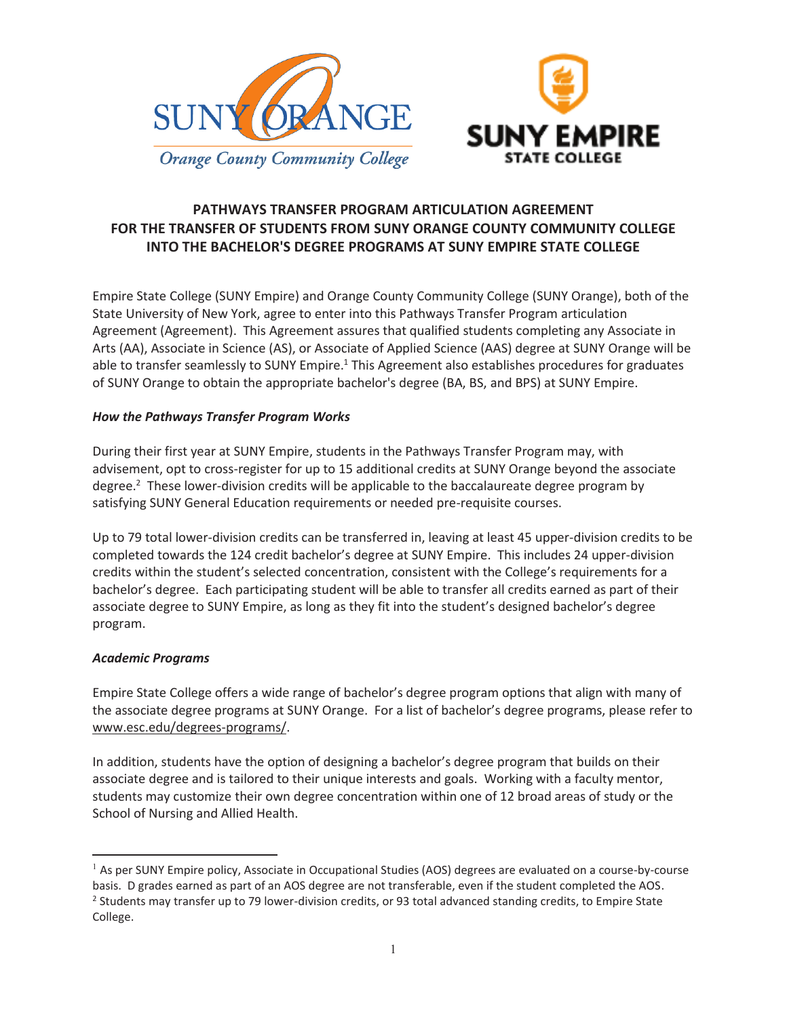



# **PATHWAYS TRANSFER PROGRAM ARTICULATION AGREEMENT FOR THE TRANSFER OF STUDENTS FROM SUNY ORANGE COUNTY COMMUNITY COLLEGE INTO THE BACHELOR'S DEGREE PROGRAMS AT SUNY EMPIRE STATE COLLEGE**

Empire State College (SUNY Empire) and Orange County Community College (SUNY Orange), both of the State University of New York, agree to enter into this Pathways Transfer Program articulation Agreement (Agreement). This Agreement assures that qualified students completing any Associate in Arts (AA), Associate in Science (AS), or Associate of Applied Science (AAS) degree at SUNY Orange will be able to transfer seamlessly to SUNY Empire.<sup>1</sup> This Agreement also establishes procedures for graduates of SUNY Orange to obtain the appropriate bachelor's degree (BA, BS, and BPS) at SUNY Empire.

## *How the Pathways Transfer Program Works*

During their first year at SUNY Empire, students in the Pathways Transfer Program may, with advisement, opt to cross-register for up to 15 additional credits at SUNY Orange beyond the associate degree.<sup>2</sup> These lower-division credits will be applicable to the baccalaureate degree program by satisfying SUNY General Education requirements or needed pre-requisite courses.

Up to 79 total lower-division credits can be transferred in, leaving at least 45 upper-division credits to be completed towards the 124 credit bachelor's degree at SUNY Empire. This includes 24 upper-division credits within the student's selected concentration, consistent with the College's requirements for a bachelor's degree. Each participating student will be able to transfer all credits earned as part of their associate degree to SUNY Empire, as long as they fit into the student's designed bachelor's degree program.

### *Academic Programs*

 $\overline{a}$ 

Empire State College offers a wide range of bachelor's degree program options that align with many of the associate degree programs at SUNY Orange. For a list of bachelor's degree programs, please refer to www.esc.edu/degrees-programs/.

In addition, students have the option of designing a bachelor's degree program that builds on their associate degree and is tailored to their unique interests and goals. Working with a faculty mentor, students may customize their own degree concentration within one of 12 broad areas of study or the School of Nursing and Allied Health.

 $<sup>1</sup>$  As per SUNY Empire policy, Associate in Occupational Studies (AOS) degrees are evaluated on a course-by-course</sup> basis. D grades earned as part of an AOS degree are not transferable, even if the student completed the AOS. <sup>2</sup> Students may transfer up to 79 lower-division credits, or 93 total advanced standing credits, to Empire State College.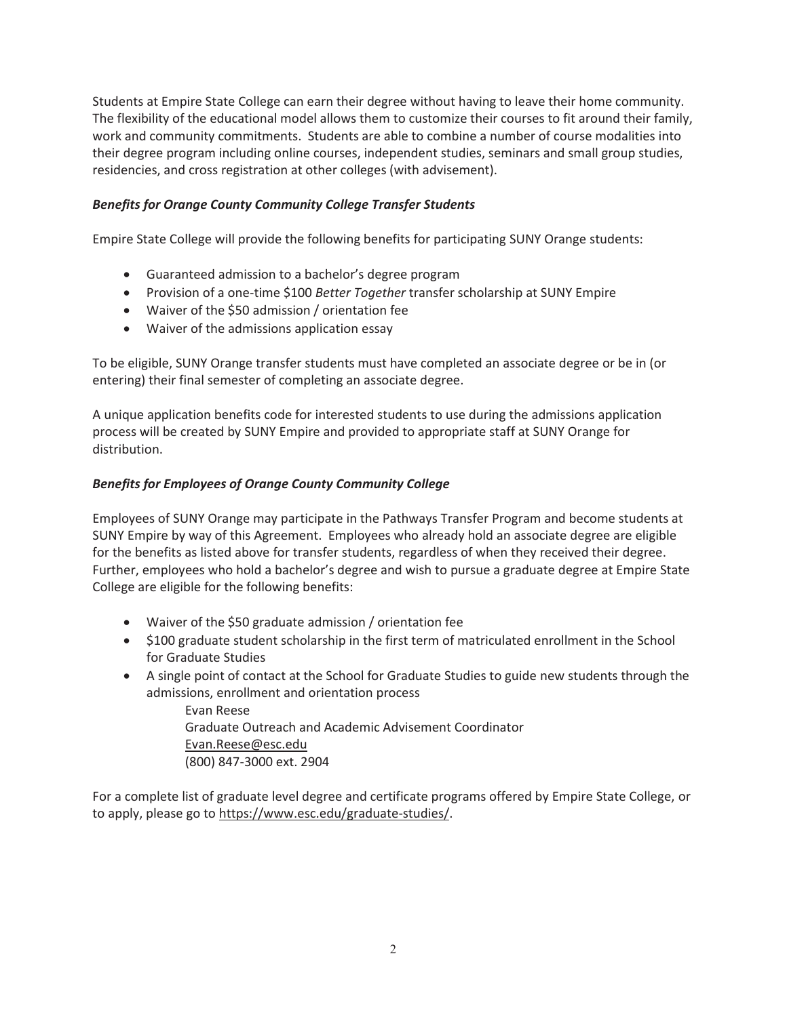Students at Empire State College can earn their degree without having to leave their home community. The flexibility of the educational model allows them to customize their courses to fit around their family, work and community commitments. Students are able to combine a number of course modalities into their degree program including online courses, independent studies, seminars and small group studies, residencies, and cross registration at other colleges (with advisement).

## *Benefits for Orange County Community College Transfer Students*

Empire State College will provide the following benefits for participating SUNY Orange students:

- Guaranteed admission to a bachelor's degree program
- **•** Provision of a one-time \$100 *Better Together* transfer scholarship at SUNY Empire
- Waiver of the \$50 admission / orientation fee
- Waiver of the admissions application essay

To be eligible, SUNY Orange transfer students must have completed an associate degree or be in (or entering) their final semester of completing an associate degree.

A unique application benefits code for interested students to use during the admissions application process will be created by SUNY Empire and provided to appropriate staff at SUNY Orange for distribution.

## *Benefits for Employees of Orange County Community College*

Employees of SUNY Orange may participate in the Pathways Transfer Program and become students at SUNY Empire by way of this Agreement. Employees who already hold an associate degree are eligible for the benefits as listed above for transfer students, regardless of when they received their degree. Further, employees who hold a bachelor's degree and wish to pursue a graduate degree at Empire State College are eligible for the following benefits:

- Waiver of the \$50 graduate admission / orientation fee
- \$100 graduate student scholarship in the first term of matriculated enrollment in the School for Graduate Studies
- A single point of contact at the School for Graduate Studies to guide new students through the admissions, enrollment and orientation process

Evan Reese Graduate Outreach and Academic Advisement Coordinator Evan.Reese@esc.edu (800) 847-3000 ext. 2904

For a complete list of graduate level degree and certificate programs offered by Empire State College, or to apply, please go to https://www.esc.edu/graduate-studies/.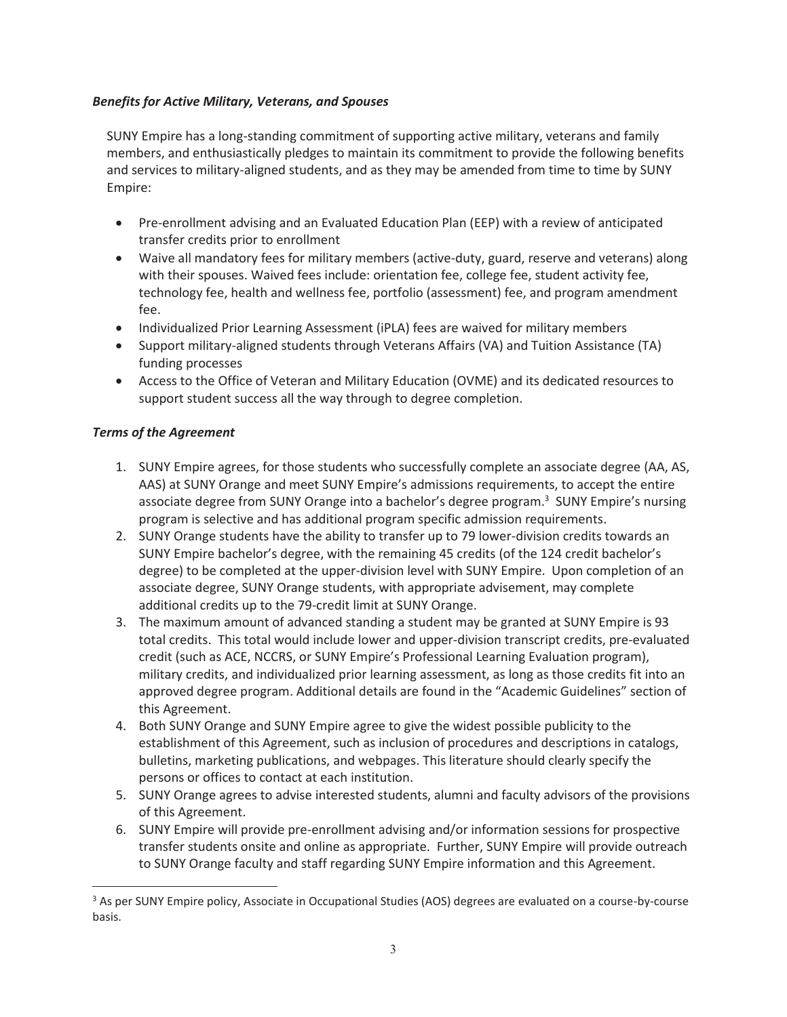## *Benefits for Active Military, Veterans, and Spouses*

SUNY Empire has a long-standing commitment of supporting active military, veterans and family members, and enthusiastically pledges to maintain its commitment to provide the following benefits and services to military-aligned students, and as they may be amended from time to time by SUNY Empire:

- Pre-enrollment advising and an Evaluated Education Plan (EEP) with a review of anticipated transfer credits prior to enrollment
- Waive all mandatory fees for military members (active-duty, guard, reserve and veterans) along with their spouses. Waived fees include: orientation fee, college fee, student activity fee, technology fee, health and wellness fee, portfolio (assessment) fee, and program amendment fee.
- Individualized Prior Learning Assessment (iPLA) fees are waived for military members
- Support military-aligned students through Veterans Affairs (VA) and Tuition Assistance (TA) funding processes
- Access to the Office of Veteran and Military Education (OVME) and its dedicated resources to support student success all the way through to degree completion.

## *Terms of the Agreement*

 $\overline{a}$ 

- 1. SUNY Empire agrees, for those students who successfully complete an associate degree (AA, AS, AAS) at SUNY Orange and meet SUNY Empire's admissions requirements, to accept the entire associate degree from SUNY Orange into a bachelor's degree program.<sup>3</sup> SUNY Empire's nursing program is selective and has additional program specific admission requirements.
- 2. SUNY Orange students have the ability to transfer up to 79 lower-division credits towards an SUNY Empire bachelor's degree, with the remaining 45 credits (of the 124 credit bachelor's degree) to be completed at the upper-division level with SUNY Empire. Upon completion of an associate degree, SUNY Orange students, with appropriate advisement, may complete additional credits up to the 79-credit limit at SUNY Orange.
- 3. The maximum amount of advanced standing a student may be granted at SUNY Empire is 93 total credits. This total would include lower and upper-division transcript credits, pre-evaluated credit (such as ACE, NCCRS, or SUNY Empire's Professional Learning Evaluation program), military credits, and individualized prior learning assessment, as long as those credits fit into an approved degree program. Additional details are found in the "Academic Guidelines" section of this Agreement.
- 4. Both SUNY Orange and SUNY Empire agree to give the widest possible publicity to the establishment of this Agreement, such as inclusion of procedures and descriptions in catalogs, bulletins, marketing publications, and webpages. This literature should clearly specify the persons or offices to contact at each institution.
- 5. SUNY Orange agrees to advise interested students, alumni and faculty advisors of the provisions of this Agreement.
- 6. SUNY Empire will provide pre-enrollment advising and/or information sessions for prospective transfer students onsite and online as appropriate. Further, SUNY Empire will provide outreach to SUNY Orange faculty and staff regarding SUNY Empire information and this Agreement.

<sup>&</sup>lt;sup>3</sup> As per SUNY Empire policy, Associate in Occupational Studies (AOS) degrees are evaluated on a course-by-course basis.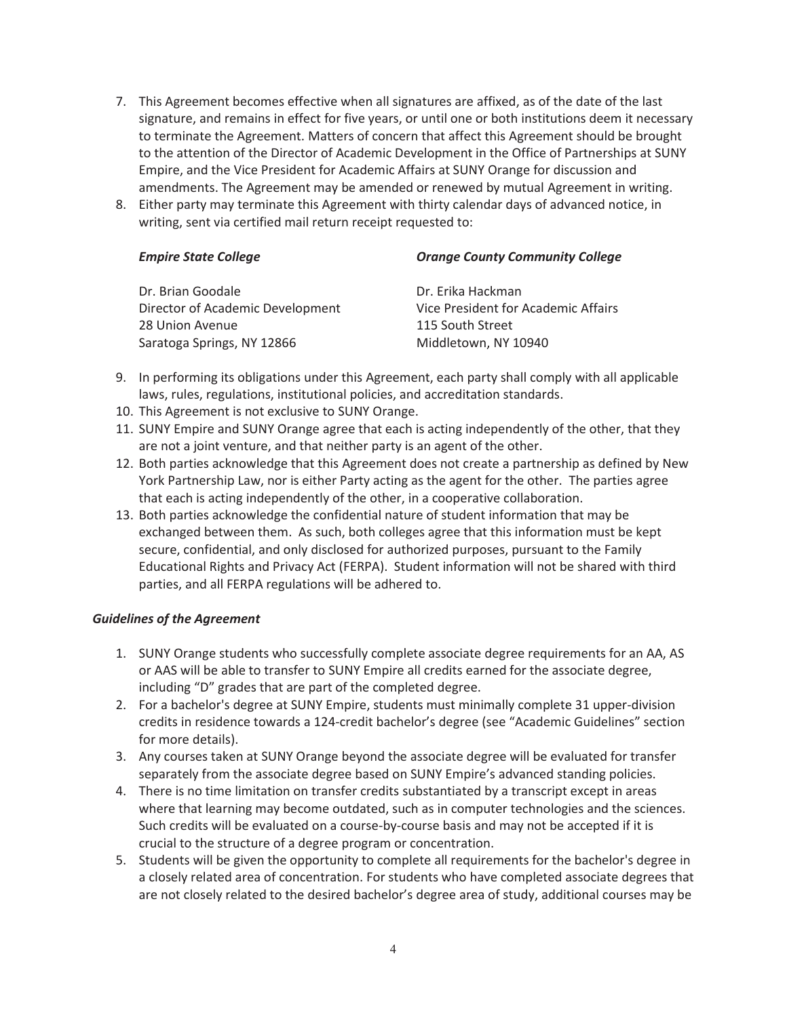- 7. This Agreement becomes effective when all signatures are affixed, as of the date of the last signature, and remains in effect for five years, or until one or both institutions deem it necessary to terminate the Agreement. Matters of concern that affect this Agreement should be brought to the attention of the Director of Academic Development in the Office of Partnerships at SUNY Empire, and the Vice President for Academic Affairs at SUNY Orange for discussion and amendments. The Agreement may be amended or renewed by mutual Agreement in writing.
- 8. Either party may terminate this Agreement with thirty calendar days of advanced notice, in writing, sent via certified mail return receipt requested to:

| <b>Orange County Community College</b> |  |  |
|----------------------------------------|--|--|
| Dr. Erika Hackman                      |  |  |
| Vice President for Academic Affairs    |  |  |
| 115 South Street                       |  |  |
| Middletown, NY 10940                   |  |  |
|                                        |  |  |

- 9. In performing its obligations under this Agreement, each party shall comply with all applicable laws, rules, regulations, institutional policies, and accreditation standards.
- 10. This Agreement is not exclusive to SUNY Orange.
- 11. SUNY Empire and SUNY Orange agree that each is acting independently of the other, that they are not a joint venture, and that neither party is an agent of the other.
- 12. Both parties acknowledge that this Agreement does not create a partnership as defined by New York Partnership Law, nor is either Party acting as the agent for the other. The parties agree that each is acting independently of the other, in a cooperative collaboration.
- 13. Both parties acknowledge the confidential nature of student information that may be exchanged between them. As such, both colleges agree that this information must be kept secure, confidential, and only disclosed for authorized purposes, pursuant to the Family Educational Rights and Privacy Act (FERPA). Student information will not be shared with third parties, and all FERPA regulations will be adhered to.

## *Guidelines of the Agreement*

- 1. SUNY Orange students who successfully complete associate degree requirements for an AA, AS or AAS will be able to transfer to SUNY Empire all credits earned for the associate degree, including "D" grades that are part of the completed degree.
- 2. For a bachelor's degree at SUNY Empire, students must minimally complete 31 upper-division credits in residence towards a 124-credit bachelor's degree (see "Academic Guidelines" section for more details).
- 3. Any courses taken at SUNY Orange beyond the associate degree will be evaluated for transfer separately from the associate degree based on SUNY Empire's advanced standing policies.
- 4. There is no time limitation on transfer credits substantiated by a transcript except in areas where that learning may become outdated, such as in computer technologies and the sciences. Such credits will be evaluated on a course-by-course basis and may not be accepted if it is crucial to the structure of a degree program or concentration.
- 5. Students will be given the opportunity to complete all requirements for the bachelor's degree in a closely related area of concentration. For students who have completed associate degrees that are not closely related to the desired bachelor's degree area of study, additional courses may be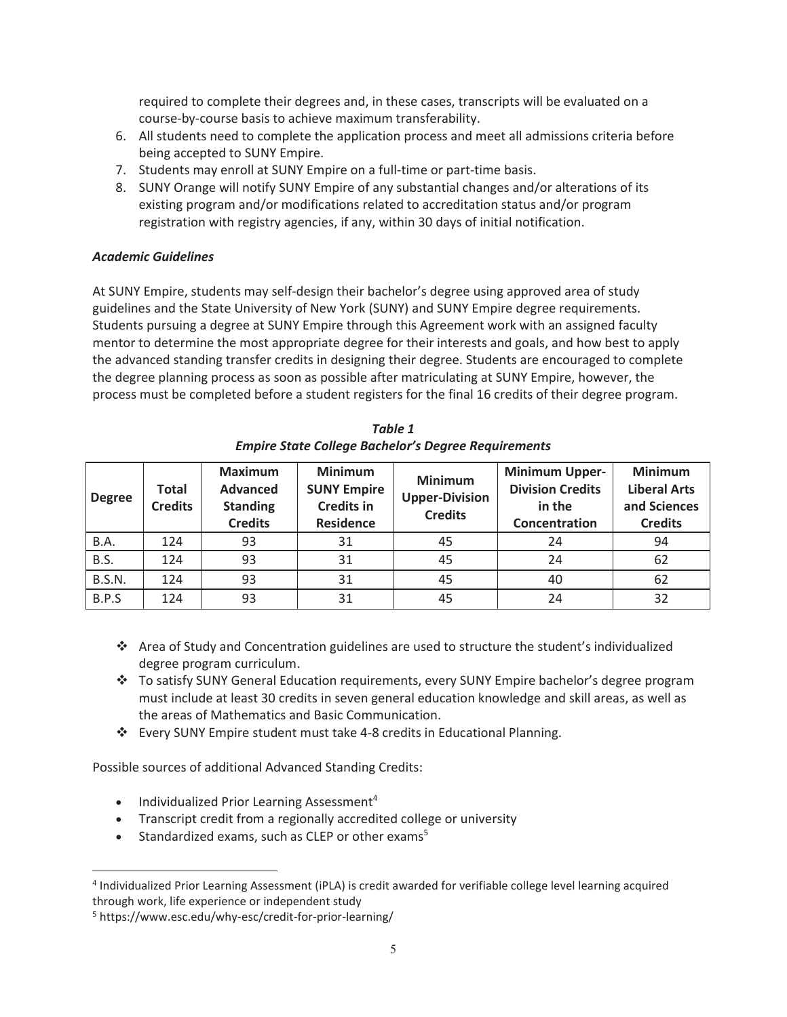required to complete their degrees and, in these cases, transcripts will be evaluated on a course-by-course basis to achieve maximum transferability.

- 6. All students need to complete the application process and meet all admissions criteria before being accepted to SUNY Empire.
- 7. Students may enroll at SUNY Empire on a full-time or part-time basis.
- 8. SUNY Orange will notify SUNY Empire of any substantial changes and/or alterations of its existing program and/or modifications related to accreditation status and/or program registration with registry agencies, if any, within 30 days of initial notification.

### *Academic Guidelines*

At SUNY Empire, students may self-design their bachelor's degree using approved area of study guidelines and the State University of New York (SUNY) and SUNY Empire degree requirements. Students pursuing a degree at SUNY Empire through this Agreement work with an assigned faculty mentor to determine the most appropriate degree for their interests and goals, and how best to apply the advanced standing transfer credits in designing their degree. Students are encouraged to complete the degree planning process as soon as possible after matriculating at SUNY Empire, however, the process must be completed before a student registers for the final 16 credits of their degree program.

| <b>Degree</b> | <b>Total</b><br><b>Credits</b> | <b>Maximum</b><br><b>Advanced</b><br><b>Standing</b><br><b>Credits</b> | <b>Minimum</b><br><b>SUNY Empire</b><br><b>Credits in</b><br><b>Residence</b> | <b>Minimum</b><br><b>Upper-Division</b><br><b>Credits</b> | <b>Minimum Upper-</b><br><b>Division Credits</b><br>in the<br>Concentration | <b>Minimum</b><br><b>Liberal Arts</b><br>and Sciences<br><b>Credits</b> |
|---------------|--------------------------------|------------------------------------------------------------------------|-------------------------------------------------------------------------------|-----------------------------------------------------------|-----------------------------------------------------------------------------|-------------------------------------------------------------------------|
| B.A.          | 124                            | 93                                                                     | 31                                                                            | 45                                                        | 24                                                                          | 94                                                                      |
| B.S.          | 124                            | 93                                                                     | 31                                                                            | 45                                                        | 24                                                                          | 62                                                                      |
| <b>B.S.N.</b> | 124                            | 93                                                                     | 31                                                                            | 45                                                        | 40                                                                          | 62                                                                      |
| B.P.S         | 124                            | 93                                                                     | 31                                                                            | 45                                                        | 24                                                                          | 32                                                                      |

*Table 1 Empire State College Bachelor's Degree Requirements*

- Area of Study and Concentration guidelines are used to structure the student's individualized degree program curriculum.
- To satisfy SUNY General Education requirements, every SUNY Empire bachelor's degree program must include at least 30 credits in seven general education knowledge and skill areas, as well as the areas of Mathematics and Basic Communication.
- Every SUNY Empire student must take 4-8 credits in Educational Planning.

Possible sources of additional Advanced Standing Credits:

- $\bullet$  Individualized Prior Learning Assessment<sup>4</sup>
- Transcript credit from a regionally accredited college or university
- **•** Standardized exams, such as CLEP or other exams<sup>5</sup>

 $\overline{a}$ 

<sup>4</sup> Individualized Prior Learning Assessment (iPLA) is credit awarded for verifiable college level learning acquired through work, life experience or independent study

<sup>5</sup> https://www.esc.edu/why-esc/credit-for-prior-learning/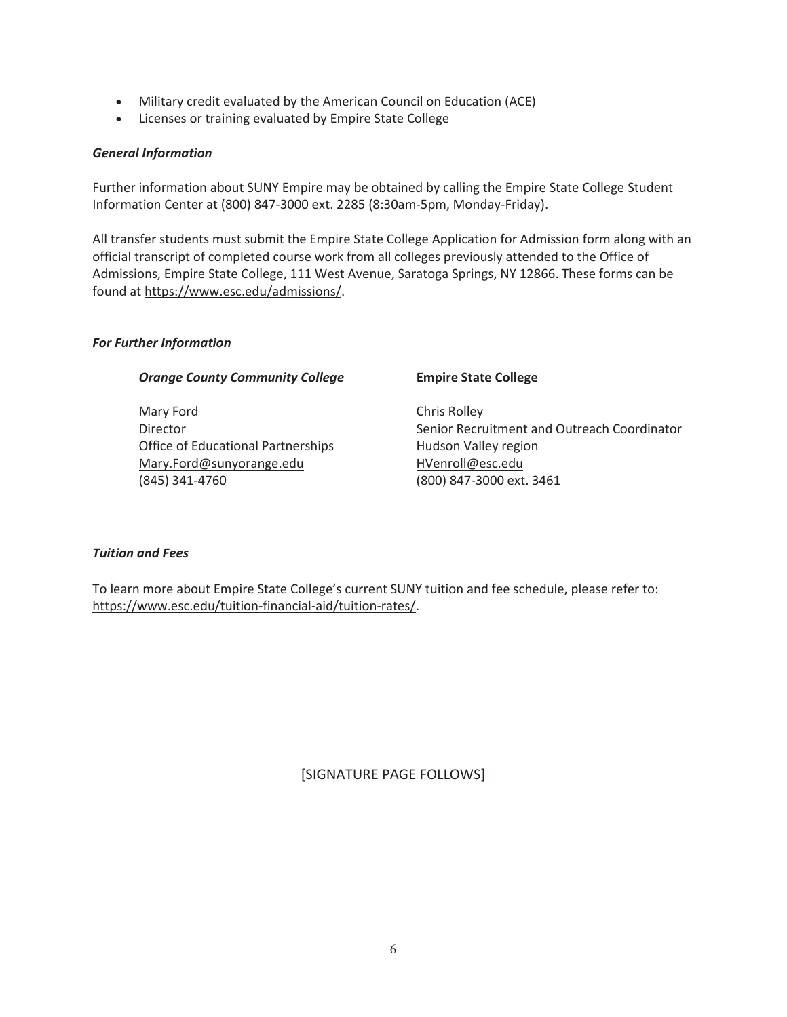- Military credit evaluated by the American Council on Education (ACE)
- Licenses or training evaluated by Empire State College

### *General Information*

Further information about SUNY Empire may be obtained by calling the Empire State College Student Information Center at (800) 847-3000 ext. 2285 (8:30am-5pm, Monday-Friday).

All transfer students must submit the Empire State College Application for Admission form along with an official transcript of completed course work from all colleges previously attended to the Office of Admissions, Empire State College, 111 West Avenue, Saratoga Springs, NY 12866. These forms can be found at https://www.esc.edu/admissions/.

#### *For Further Information*

#### **Orange County Community College Empire State College**

Mary Ford **Chris Rolley** Office of Educational Partnerships Hudson Valley region Mary.Ford@sunyorange.edu HVenroll@esc.edu (845) 341-4760 (800) 847-3000 ext. 3461

Director **Contact Contact Contact Coordinator** Senior Recruitment and Outreach Coordinator

#### *Tuition and Fees*

To learn more about Empire State College's current SUNY tuition and fee schedule, please refer to: https://www.esc.edu/tuition-financial-aid/tuition-rates/.

[SIGNATURE PAGE FOLLOWS]